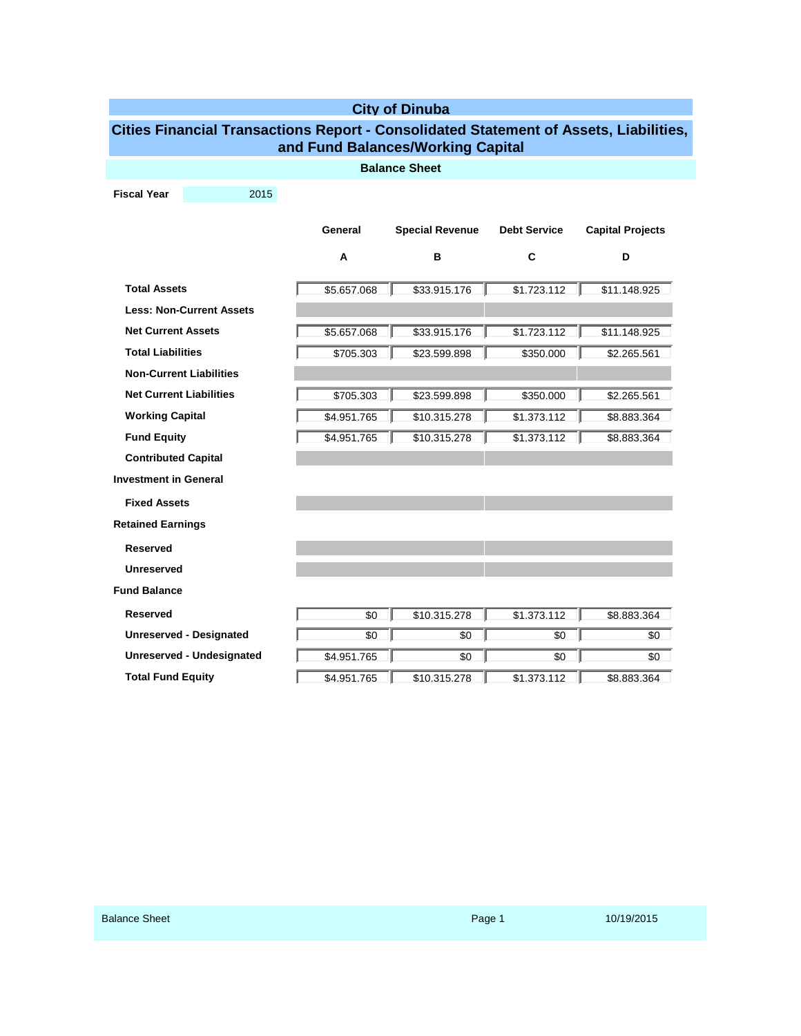| <b>City of Dinuba</b>                                                                                                      |      |             |                        |                     |                         |  |  |  |  |
|----------------------------------------------------------------------------------------------------------------------------|------|-------------|------------------------|---------------------|-------------------------|--|--|--|--|
| Cities Financial Transactions Report - Consolidated Statement of Assets, Liabilities,<br>and Fund Balances/Working Capital |      |             |                        |                     |                         |  |  |  |  |
| <b>Balance Sheet</b>                                                                                                       |      |             |                        |                     |                         |  |  |  |  |
| <b>Fiscal Year</b>                                                                                                         | 2015 |             |                        |                     |                         |  |  |  |  |
|                                                                                                                            |      |             |                        |                     |                         |  |  |  |  |
|                                                                                                                            |      | General     | <b>Special Revenue</b> | <b>Debt Service</b> | <b>Capital Projects</b> |  |  |  |  |
|                                                                                                                            |      | A           | в                      | C                   | D                       |  |  |  |  |
| <b>Total Assets</b>                                                                                                        |      | \$5.657.068 | \$33.915.176           | \$1.723.112         | \$11.148.925            |  |  |  |  |
| <b>Less: Non-Current Assets</b>                                                                                            |      |             |                        |                     |                         |  |  |  |  |
| <b>Net Current Assets</b>                                                                                                  |      | \$5.657.068 | \$33.915.176           | \$1.723.112         | \$11.148.925            |  |  |  |  |
| <b>Total Liabilities</b>                                                                                                   |      | \$705.303   | \$23.599.898           | \$350.000           | \$2.265.561             |  |  |  |  |
| <b>Non-Current Liabilities</b>                                                                                             |      |             |                        |                     |                         |  |  |  |  |
| <b>Net Current Liabilities</b>                                                                                             |      | \$705.303   | \$23,599.898           | \$350.000           | \$2.265.561             |  |  |  |  |
| <b>Working Capital</b>                                                                                                     |      | \$4.951.765 | \$10.315.278           | \$1.373.112         | \$8.883.364             |  |  |  |  |
| <b>Fund Equity</b>                                                                                                         |      | \$4.951.765 | \$10.315.278           | \$1,373,112         | \$8.883.364             |  |  |  |  |
| <b>Contributed Capital</b>                                                                                                 |      |             |                        |                     |                         |  |  |  |  |
| <b>Investment in General</b>                                                                                               |      |             |                        |                     |                         |  |  |  |  |
| <b>Fixed Assets</b>                                                                                                        |      |             |                        |                     |                         |  |  |  |  |
| <b>Retained Earnings</b>                                                                                                   |      |             |                        |                     |                         |  |  |  |  |
| <b>Reserved</b>                                                                                                            |      |             |                        |                     |                         |  |  |  |  |
| <b>Unreserved</b>                                                                                                          |      |             |                        |                     |                         |  |  |  |  |
| <b>Fund Balance</b>                                                                                                        |      |             |                        |                     |                         |  |  |  |  |
| <b>Reserved</b>                                                                                                            |      | \$0         | \$10.315.278           | \$1.373.112         | \$8.883.364             |  |  |  |  |
| <b>Unreserved - Designated</b>                                                                                             |      | \$0         | \$0                    | \$0                 | \$0                     |  |  |  |  |
| <b>Unreserved - Undesignated</b>                                                                                           |      | \$4.951.765 | \$0                    | \$0                 | \$0                     |  |  |  |  |
| <b>Total Fund Equity</b>                                                                                                   |      | \$4.951.765 | \$10.315.278           | \$1.373.112         | \$8,883,364             |  |  |  |  |
|                                                                                                                            |      |             |                        |                     |                         |  |  |  |  |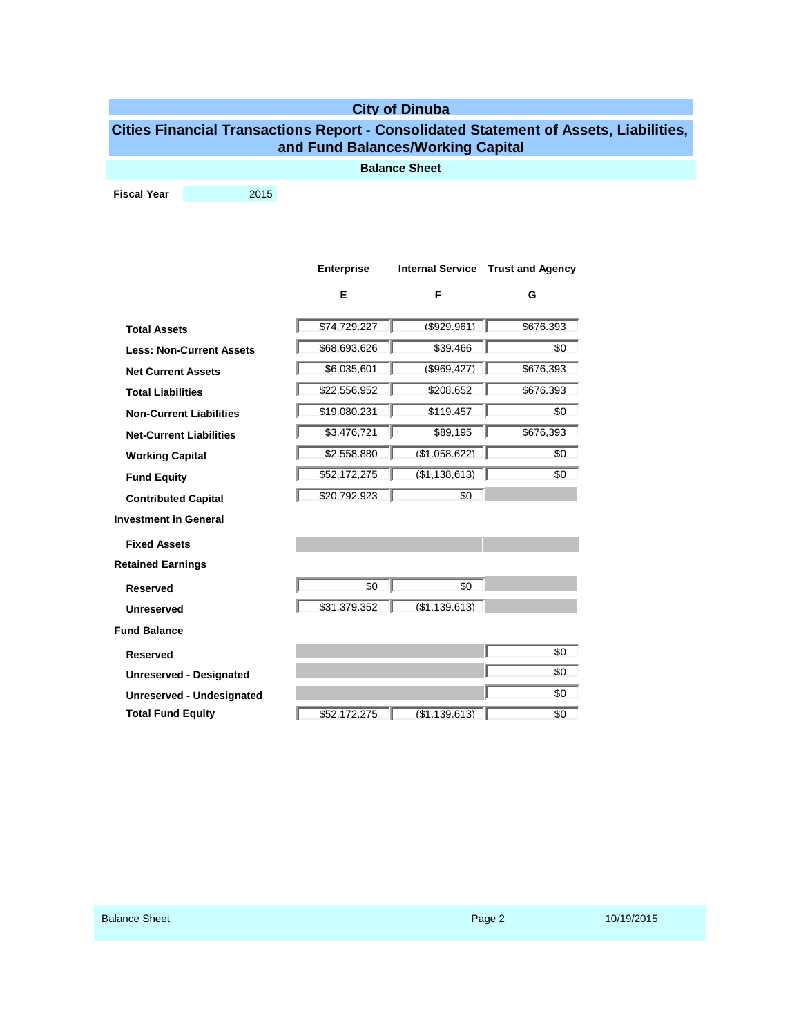## **City of Dinuba**

## **Cities Financial Transactions Report - Consolidated Statement of Assets, Liabilities, and Fund Balances/Working Capital**

**Balance Sheet**

**Fiscal Year** 2015

|                                 | <b>Enterprise</b> |                | Internal Service Trust and Agency |
|---------------------------------|-------------------|----------------|-----------------------------------|
|                                 | Е                 | F              | G                                 |
| <b>Total Assets</b>             | \$74.729.227      | $($ \$929.961) | \$676.393                         |
| <b>Less: Non-Current Assets</b> | \$68.693.626      | \$39.466       | \$0                               |
| <b>Net Current Assets</b>       | \$6.035.601       | $($ \$969.427) | \$676.393                         |
| <b>Total Liabilities</b>        | \$22.556.952      | \$208.652      | \$676.393                         |
| <b>Non-Current Liabilities</b>  | \$19.080.231      | \$119.457      | \$0                               |
| <b>Net-Current Liabilities</b>  | \$3.476.721       | \$89.195       | \$676.393                         |
| <b>Working Capital</b>          | \$2,558,880       | (S1.058.622)   | \$0                               |
| <b>Fund Equity</b>              | \$52.172.275      | (S1.138.613)   | \$0                               |
| <b>Contributed Capital</b>      | \$20.792.923      | \$0            |                                   |
| <b>Investment in General</b>    |                   |                |                                   |
| <b>Fixed Assets</b>             |                   |                |                                   |
| <b>Retained Earnings</b>        |                   |                |                                   |
| <b>Reserved</b>                 | \$0               | \$0            |                                   |
| <b>Unreserved</b>               | \$31.379.352      | (S1.139.613)   |                                   |
| <b>Fund Balance</b>             |                   |                |                                   |
| <b>Reserved</b>                 |                   |                | \$0                               |
| <b>Unreserved - Designated</b>  |                   |                | \$0                               |
| Unreserved - Undesignated       |                   |                | \$0                               |
| <b>Total Fund Equity</b>        | \$52.172.275      | (S1.139.613)   | \$0                               |
|                                 |                   |                |                                   |
|                                 |                   |                |                                   |